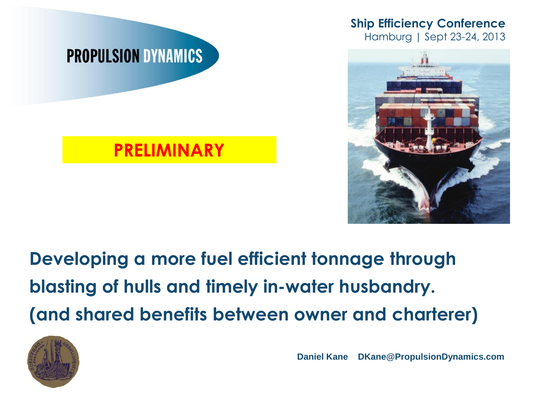





### **PRELIMINARY**

### **Developing a more fuel efficient tonnage through blasting of hulls and timely in-water husbandry. (and shared benefits between owner and charterer)**



**Daniel Kane DKane@PropulsionDynamics.com**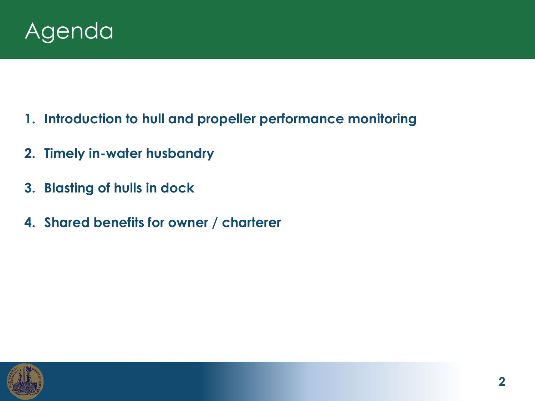

- **1. Introduction to hull and propeller performance monitoring**
- **2. Timely in-water husbandry**
- **3. Blasting of hulls in dock**
- **4. Shared benefits for owner / charterer**

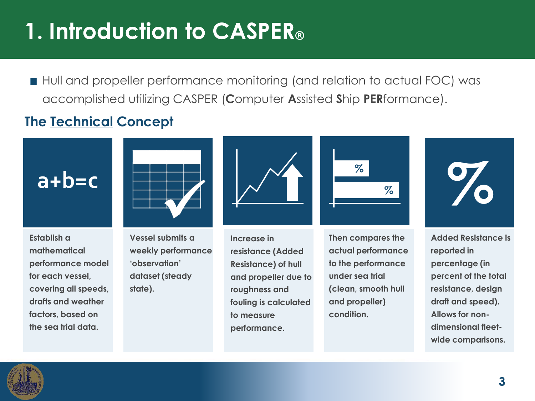### **1. Introduction to CASPER®**

■ Hull and propeller performance monitoring (and relation to actual FOC) was accomplished utilizing CASPER (**C**omputer **A**ssisted **S**hip **PER**formance).

#### **The Technical Concept**

**Establish a mathematical performance model for each vessel, covering all speeds, drafts and weather factors, based on the sea trial data.**



**Vessel submits a weekly performance 'observation' dataset (steady state).**



**Increase in resistance (Added Resistance) of hull and propeller due to roughness and fouling is calculated to measure performance.**



**Then compares the actual performance to the performance under sea trial (clean, smooth hull and propeller) condition.**



**Added Resistance is reported in percentage (in percent of the total resistance, design draft and speed). Allows for nondimensional fleetwide comparisons.** 

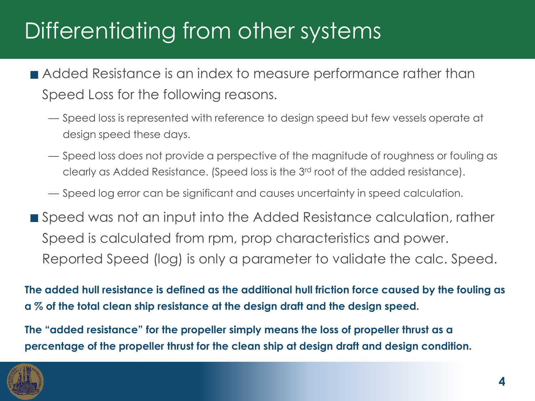### Differentiating from other systems

- **Added Resistance is an index to measure performance rather than** Speed Loss for the following reasons.
	- Speed loss is represented with reference to design speed but few vessels operate at design speed these days.
	- Speed loss does not provide a perspective of the magnitude of roughness or fouling as clearly as Added Resistance. (Speed loss is the 3rd root of the added resistance).
	- Speed log error can be significant and causes uncertainty in speed calculation.
- Speed was not an input into the Added Resistance calculation, rather Speed is calculated from rpm, prop characteristics and power. Reported Speed (log) is only a parameter to validate the calc. Speed.

**The added hull resistance is defined as the additional hull friction force caused by the fouling as a % of the total clean ship resistance at the design draft and the design speed.**

**The "added resistance" for the propeller simply means the loss of propeller thrust as a percentage of the propeller thrust for the clean ship at design draft and design condition.** 

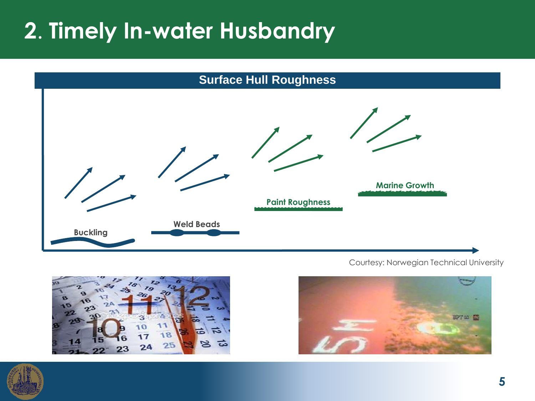### **2**. **Timely In-water Husbandry**



Courtesy: Norwegian Technical University





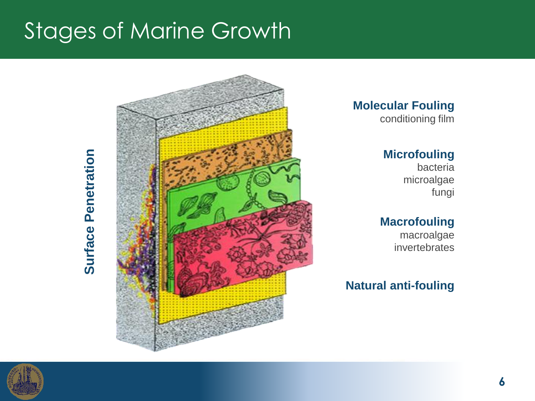### Stages of Marine Growth





**Molecular Fouling**

#### conditioning film

#### **Microfouling**

bacteria microalgae fungi

#### **Macrofouling**

 macroalgae invertebrates

#### **Natural anti-fouling**

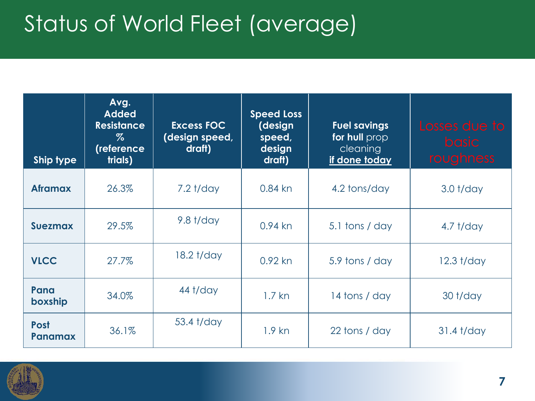### Status of World Fleet (average)

| <b>Ship type</b>              | Avg.<br><b>Added</b><br><b>Resistance</b><br>$\%$<br>(reference<br>trials) | <b>Excess FOC</b><br>(design speed,<br>draft) | <b>Speed Loss</b><br>(design<br>speed,<br>design<br>draft) | <b>Fuel savings</b><br>for hull prop<br>cleaning<br>if done today | Losses due to<br><b>basic</b><br>roughness |  |
|-------------------------------|----------------------------------------------------------------------------|-----------------------------------------------|------------------------------------------------------------|-------------------------------------------------------------------|--------------------------------------------|--|
| <b>Aframax</b>                | 26.3%                                                                      | $7.2$ t/day                                   | $0.84$ kn                                                  | 4.2 tons/day                                                      | $3.0$ t/day                                |  |
| <b>Suezmax</b>                | 29.5%                                                                      | $9.8$ t/day                                   | $0.94$ kn                                                  | 5.1 tons / day                                                    | $4.7$ t/day                                |  |
| <b>VLCC</b>                   | 27.7%                                                                      | 18.2 t/day                                    | $0.92$ kn                                                  | 5.9 tons / day                                                    | $12.3$ t/day                               |  |
| Pana<br>boxship               | 34.0%                                                                      | 44 t/day                                      | $1.7$ kn                                                   | 14 tons / day                                                     | $30$ t/day                                 |  |
| <b>Post</b><br><b>Panamax</b> | 36.1%                                                                      | 53.4 t/day                                    | $1.9$ kn                                                   | 22 tons / day                                                     | $31.4$ t/day                               |  |

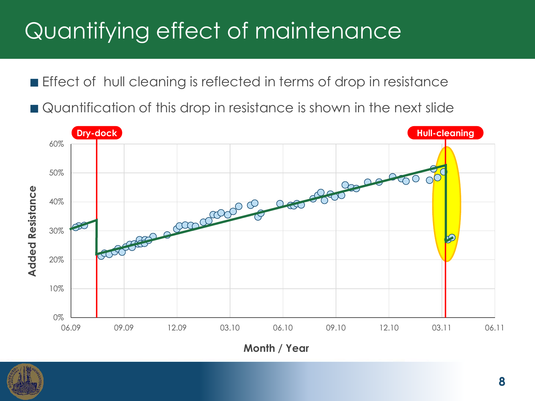### Quantifying effect of maintenance

**Effect of hull cleaning is reflected in terms of drop in resistance** 

Quantification of this drop in resistance is shown in the next slide



**Month / Year**

![](_page_7_Picture_5.jpeg)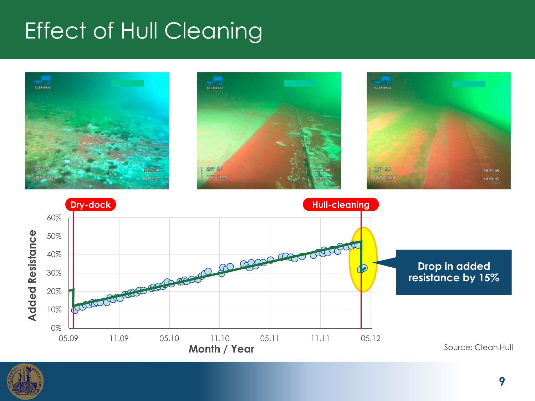### Effect of Hull Cleaning

![](_page_8_Picture_1.jpeg)

![](_page_8_Picture_2.jpeg)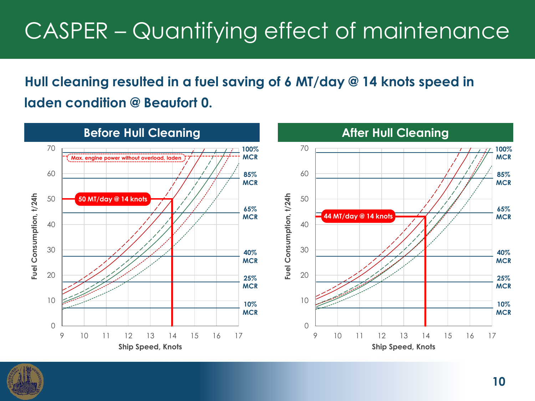### CASPER – Quantifying effect of maintenance

#### **Hull cleaning resulted in a fuel saving of 6 MT/day @ 14 knots speed in laden condition @ Beaufort 0.**

![](_page_9_Figure_2.jpeg)

![](_page_9_Picture_3.jpeg)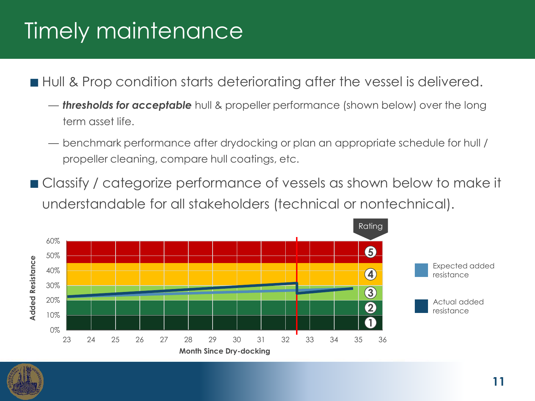### Timely maintenance

■ Hull & Prop condition starts deteriorating after the vessel is delivered.

- *thresholds for acceptable* hull & propeller performance (shown below) over the long term asset life.
- benchmark performance after drydocking or plan an appropriate schedule for hull / propeller cleaning, compare hull coatings, etc.
- Classify / categorize performance of vessels as shown below to make it understandable for all stakeholders (technical or nontechnical).

![](_page_10_Figure_5.jpeg)

![](_page_10_Picture_6.jpeg)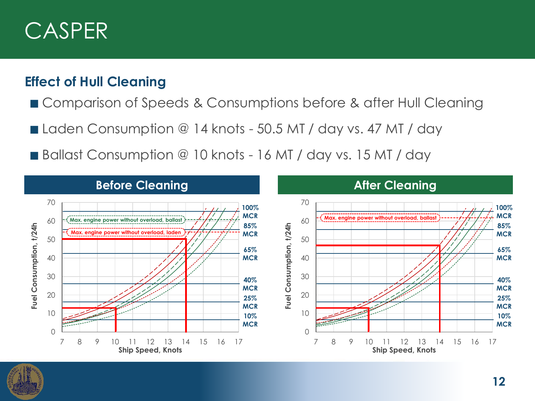### CASPER

#### **Effect of Hull Cleaning**

- Comparison of Speeds & Consumptions before & after Hull Cleaning
- Laden Consumption @ 14 knots 50.5 MT / day vs. 47 MT / day
- Ballast Consumption @ 10 knots 16 MT / day vs. 15 MT / day

![](_page_11_Figure_5.jpeg)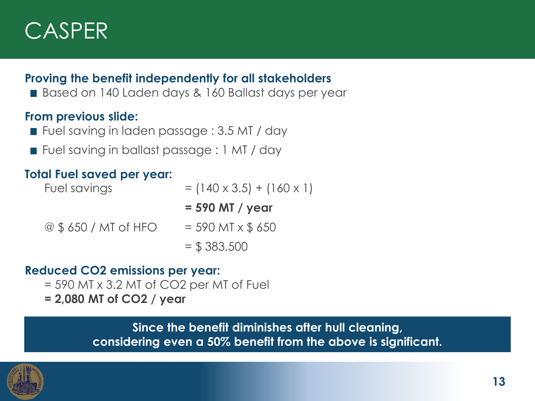![](_page_12_Picture_0.jpeg)

#### **Proving the benefit independently for all stakeholders**

Based on 140 Laden days & 160 Ballast days per year

#### **From previous slide:**

- Fuel saving in laden passage : 3.5 MT / day
- Fuel saving in ballast passage : 1 MT / day

#### **Total Fuel saved per year:**

| Fuel savings           | $= (140 \times 3.5) + (160 \times 1)$ |
|------------------------|---------------------------------------|
|                        | $= 590$ MT / year                     |
| $@$ \$ 650 / MT of HFO | $= 590$ MT x \$ 650                   |
|                        | $=$ \$ 383,500                        |

#### **Reduced CO2 emissions per year:**

- = 590 MT x 3.2 MT of CO2 per MT of Fuel
- **= 2,080 MT of CO2 / year**

**Since the benefit diminishes after hull cleaning, considering even a 50% benefit from the above is significant.**

![](_page_12_Picture_12.jpeg)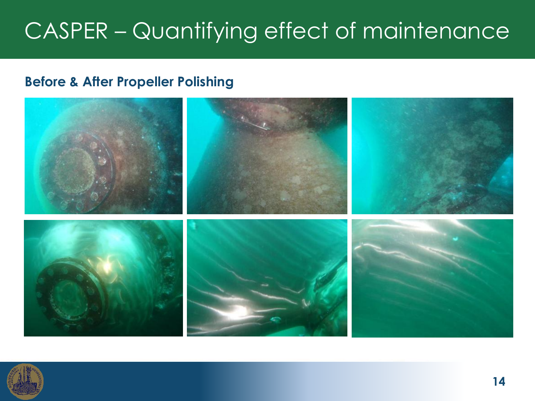### CASPER – Quantifying effect of maintenance

#### **Before & After Propeller Polishing**

![](_page_13_Picture_2.jpeg)

![](_page_13_Picture_3.jpeg)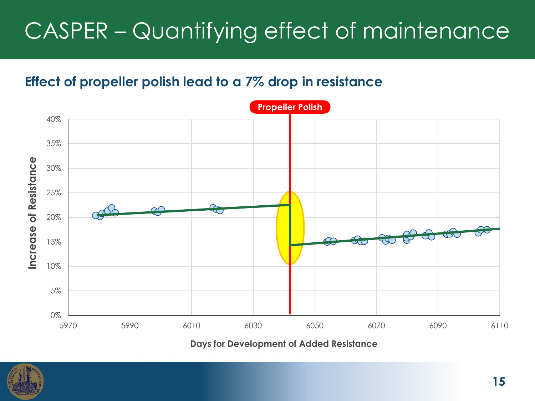### CASPER – Quantifying effect of maintenance

#### **Effect of propeller polish lead to a 7% drop in resistance**

![](_page_14_Figure_2.jpeg)

**Days for Development of Added Resistance**

![](_page_14_Picture_4.jpeg)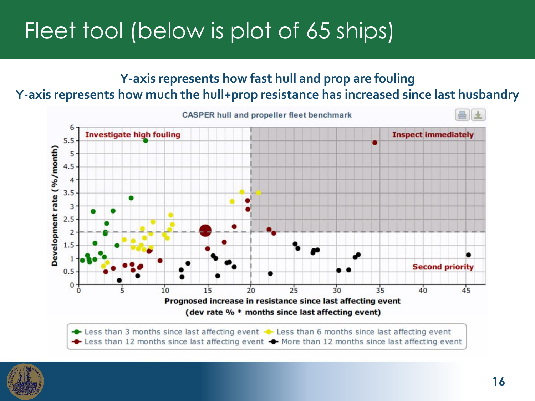### Fleet tool (below is plot of 65 ships)

#### **Y-axis represents how fast hull and prop are fouling Y-axis represents how much the hull+prop resistance has increased since last husbandry**

![](_page_15_Figure_2.jpeg)

Less than 3 months since last affecting event  $\rightarrow$  Less than 6 months since last affecting event ← Less than 12 months since last affecting event ← More than 12 months since last affecting event

![](_page_15_Picture_4.jpeg)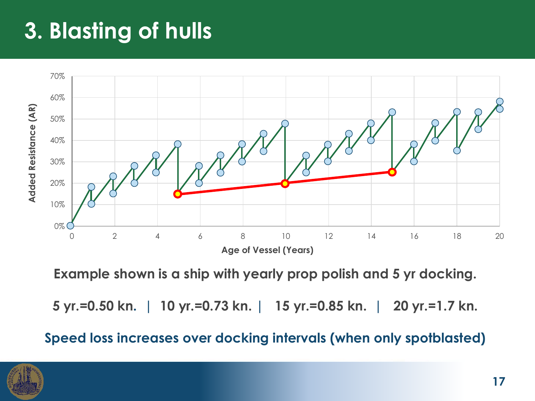### **3. Blasting of hulls**

![](_page_16_Figure_1.jpeg)

**Example shown is a ship with yearly prop polish and 5 yr docking.** 

**5 yr.=0.50 kn. | 10 yr.=0.73 kn. | 15 yr.=0.85 kn. | 20 yr.=1.7 kn.**

**Speed loss increases over docking intervals (when only spotblasted)**

![](_page_16_Picture_5.jpeg)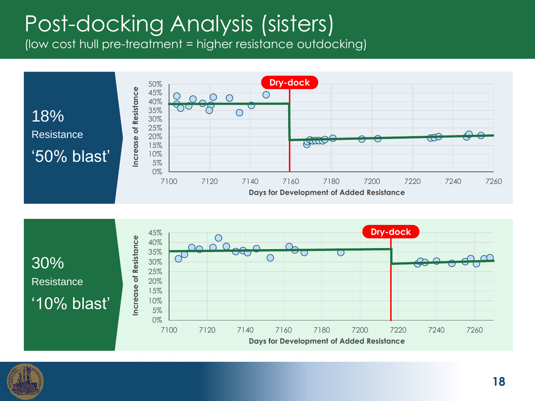### Post-docking Analysis (sisters)

(low cost hull pre-treatment = higher resistance outdocking)

![](_page_17_Figure_2.jpeg)

![](_page_17_Figure_3.jpeg)

![](_page_17_Picture_4.jpeg)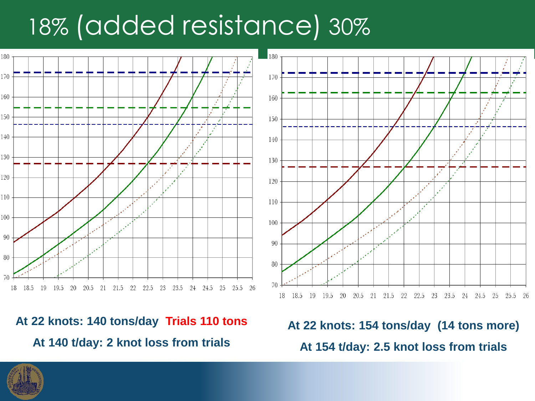## 18% (added resistance) 30%

![](_page_18_Figure_1.jpeg)

**At 22 knots: 140 tons/day Trials 110 tons At 140 t/day: 2 knot loss from trials**

![](_page_18_Figure_3.jpeg)

**At 22 knots: 154 tons/day (14 tons more) At 154 t/day: 2.5 knot loss from trials**

![](_page_18_Picture_5.jpeg)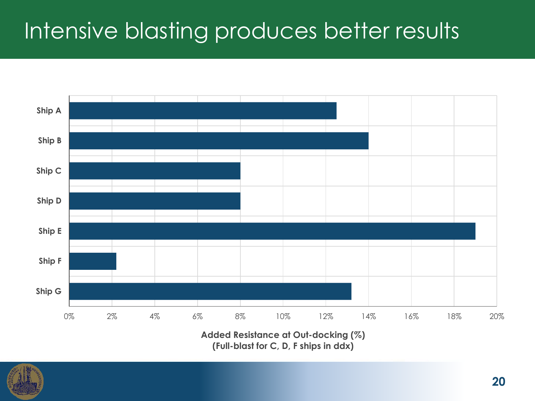### Intensive blasting produces better results

![](_page_19_Figure_1.jpeg)

**Added Resistance at Out-docking (%) (Full-blast for C, D, F ships in ddx)**

![](_page_19_Picture_3.jpeg)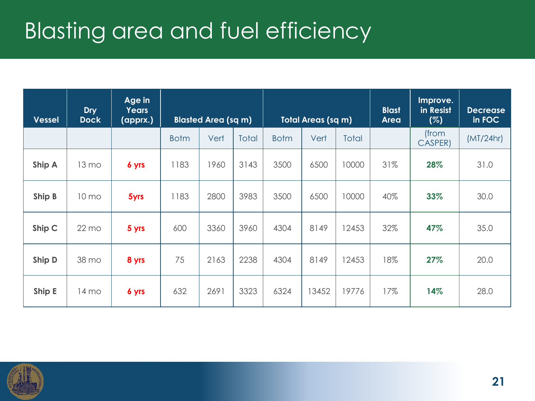### Blasting area and fuel efficiency

| <b>Vessel</b> | <b>Dry</b><br><b>Dock</b> | Age in<br><b>Years</b><br>(apprx.) | <b>Blasted Area (sq m)</b> |      | <b>Total Areas (sq m)</b> |             | <b>Blast</b><br><b>Area</b> | Improve.<br>in Resist<br>(%) | <b>Decrease</b><br>in FOC |                  |           |
|---------------|---------------------------|------------------------------------|----------------------------|------|---------------------------|-------------|-----------------------------|------------------------------|---------------------------|------------------|-----------|
|               |                           |                                    | <b>Botm</b>                | Vert | <b>Total</b>              | <b>Botm</b> | Vert                        | <b>Total</b>                 |                           | (from<br>CASPER) | (MT/24hr) |
| Ship A        | 13 mo                     | 6 yrs                              | 1183                       | 1960 | 3143                      | 3500        | 6500                        | 10000                        | 31%                       | 28%              | 31.0      |
| Ship B        | 10 mo                     | 5yrs                               | 1183                       | 2800 | 3983                      | 3500        | 6500                        | 10000                        | 40%                       | 33%              | 30.0      |
| Ship C        | $22 \text{ mo}$           | 5 yrs                              | 600                        | 3360 | 3960                      | 4304        | 8149                        | 12453                        | 32%                       | 47%              | 35.0      |
| Ship D        | 38 mo                     | 8 yrs                              | 75                         | 2163 | 2238                      | 4304        | 8149                        | 2453                         | 18%                       | 27%              | 20.0      |
| Ship E        | 14 mo                     | 6 yrs                              | 632                        | 2691 | 3323                      | 6324        | 13452                       | 19776                        | 17%                       | 14%              | 28.0      |

![](_page_20_Picture_2.jpeg)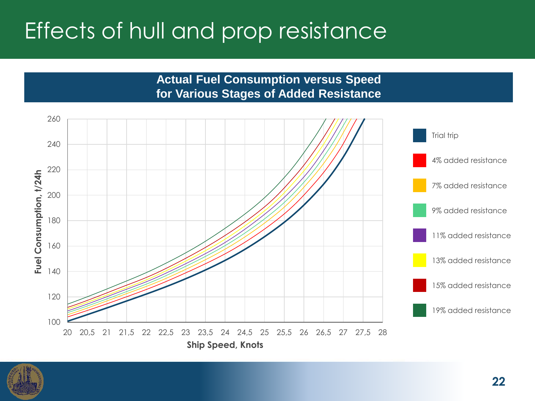### Effects of hull and prop resistance

260 **Trial trip** 240 4% added resistance 220 Fuel Consumption, t/24h **Fuel Consumption, t/24h** 7% added resistance 200 9% added resistance 180 11% added resistance 160 13% added resistance 140 15% added resistance120 19% added resistance 100 20 20,5 21 21,5 22 22,5 23 23,5 24 24,5 25 25,5 26 26,5 27 27,5 28 **Ship Speed, Knots**

**Actual Fuel Consumption versus Speed for Various Stages of Added Resistance**

![](_page_21_Picture_2.jpeg)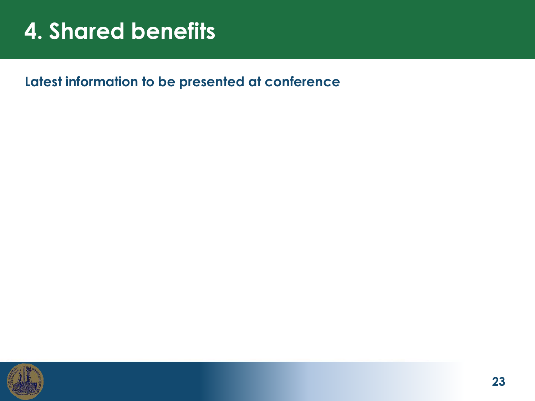### **4. Shared benefits**

**Latest information to be presented at conference**

![](_page_22_Picture_2.jpeg)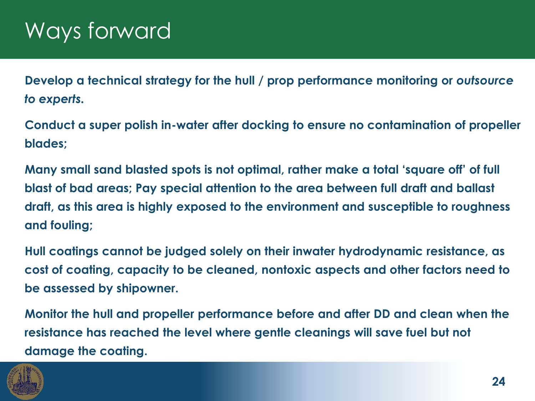**Develop a technical strategy for the hull / prop performance monitoring or** *outsource to experts.*

**Conduct a super polish in-water after docking to ensure no contamination of propeller blades;**

**Many small sand blasted spots is not optimal, rather make a total 'square off' of full blast of bad areas; Pay special attention to the area between full draft and ballast draft, as this area is highly exposed to the environment and susceptible to roughness and fouling;**

**Hull coatings cannot be judged solely on their inwater hydrodynamic resistance, as cost of coating, capacity to be cleaned, nontoxic aspects and other factors need to be assessed by shipowner.**

**Monitor the hull and propeller performance before and after DD and clean when the resistance has reached the level where gentle cleanings will save fuel but not damage the coating.**

![](_page_23_Picture_6.jpeg)